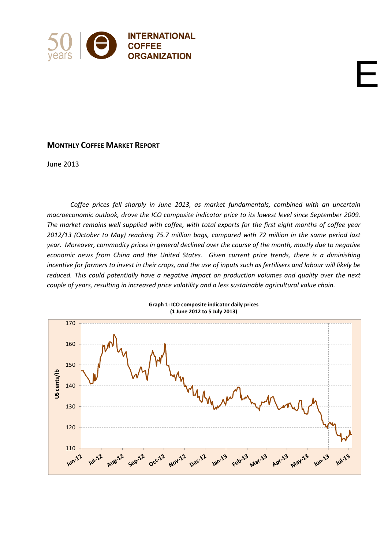

# **MONTHLY COFFEE MARKET REPORT**

June 2013

*Coffee prices fell sharply in June 2013, as market fundamentals, combined with an uncertain macroeconomic outlook, drove the ICO composite indicator price to its lowest level since September 2009.* The market remains well supplied with coffee, with total exports for the first eight months of coffee year *2012/13 (October to May) reaching 75.7 million bags, compared with 72 million in the same period last* year. Moreover, commodity prices in general declined over the course of the month, mostly due to negative *economic news from China and the United States. Given current price trends, there is a diminishing* incentive for farmers to invest in their crops, and the use of inputs such as fertilisers and labour will likely be *reduced. This could potentially have a negative impact on production volumes and quality over the next couple of years, resulting in increased price volatility and a less sustainable agricultural value chain.*

E

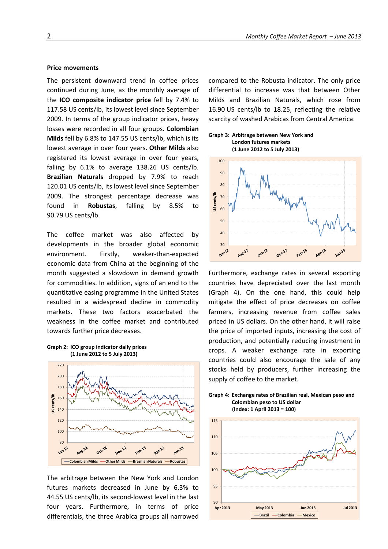#### **Price movements**

The persistent downward trend in coffee prices continued during June, as the monthly average of the **ICO composite indicator price** fell by 7.4% to 117.58 US cents/lb, its lowest level since September 2009. In terms of the group indicator prices, heavy losses were recorded in all four groups. **Colombian Milds** fell by 6.8% to 147.55 US cents/lb, which is its lowest average in over four years. **Other Milds** also registered its lowest average in over four years, falling by 6.1% to average 138.26 US cents/lb. **Brazilian Naturals** dropped by 7.9% to reach 120.01 US cents/lb, its lowest level since September 2009. The strongest percentage decrease was found in **Robustas**, falling by 8.5% to 90.79 US cents/lb.

The coffee market was also affected by developments in the broader global economic environment. Firstly, weaker‐than‐expected economic data from China at the beginning of the month suggested a slowdown in demand growth for commodities. In addition, signs of an end to the quantitative easing programme in the United States resulted in a widespread decline in commodity markets. These two factors exacerbated the weakness in the coffee market and contributed towards further price decreases.





The arbitrage between the New York and London futures markets decreased in June by 6.3% to 44.55 US cents/lb, its second‐lowest level in the last four years. Furthermore, in terms of price differentials, the three Arabica groups all narrowed compared to the Robusta indicator. The only price differential to increase was that between Other Milds and Brazilian Naturals, which rose from 16.90 US cents/lb to 18.25, reflecting the relative scarcity of washed Arabicas from Central America.

## **Graph 3: Arbitrage between New York and London futures markets**



Furthermore, exchange rates in several exporting countries have depreciated over the last month (Graph 4). On the one hand, this could help mitigate the effect of price decreases on coffee farmers, increasing revenue from coffee sales priced in US dollars. On the other hand, it will raise the price of imported inputs, increasing the cost of production, and potentially reducing investment in crops. A weaker exchange rate in exporting countries could also encourage the sale of any stocks held by producers, further increasing the supply of coffee to the market.



**(Index: 1 April 2013 = 100)**

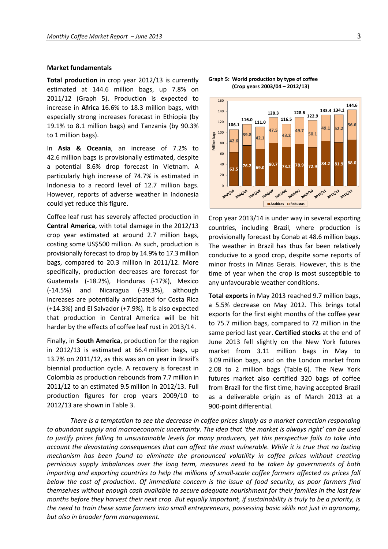#### **Market fundamentals**

**Total production** in crop year 2012/13 is currently estimated at 144.6 million bags, up 7.8% on 2011/12 (Graph 5). Production is expected to increase in **Africa** 16.6% to 18.3 million bags, with especially strong increases forecast in Ethiopia (by 19.1% to 8.1 million bags) and Tanzania (by 90.3% to 1 million bags).

In **Asia & Oceania**, an increase of 7.2% to 42.6 million bags is provisionally estimated, despite a potential 8.6% drop forecast in Vietnam. A particularly high increase of 74.7% is estimated in Indonesia to a record level of 12.7 million bags. However, reports of adverse weather in Indonesia could yet reduce this figure.

Coffee leaf rust has severely affected production in **Central America**, with total damage in the 2012/13 crop year estimated at around 2.7 million bags, costing some US\$500 million. As such, production is provisionally forecast to drop by 14.9% to 17.3 million bags, compared to 20.3 million in 2011/12. More specifically, production decreases are forecast for Guatemala (‐18.2%), Honduras (‐17%), Mexico (‐14.5%) and Nicaragua (‐39.3%), although increases are potentially anticipated for Costa Rica (+14.3%) and El Salvador (+7.9%). It is also expected that production in Central America will be hit harder by the effects of coffee leaf rust in 2013/14.

Finally, in **South America**, production for the region in 2012/13 is estimated at 66.4 million bags, up 13.7% on 2011/12, as this was an on year in Brazil's biennial production cycle. A recovery is forecast in Colombia as production rebounds from 7.7 million in 2011/12 to an estimated 9.5 million in 2012/13. Full production figures for crop years 2009/10 to 2012/13 are shown in Table 3.



#### **Graph 5: World production by type of coffee (Crop years 2003/04 – 2012/13)**

Crop year 2013/14 is under way in several exporting countries, including Brazil, where production is provisionally forecast by Conab at 48.6 million bags. The weather in Brazil has thus far been relatively conducive to a good crop, despite some reports of minor frosts in Minas Gerais. However, this is the time of year when the crop is most susceptible to any unfavourable weather conditions.

**Total exports** in May 2013 reached 9.7 million bags, a 5.5% decrease on May 2012. This brings total exports for the first eight months of the coffee year to 75.7 million bags, compared to 72 million in the same period last year. **Certified stocks** at the end of June 2013 fell slightly on the New York futures market from 3.11 million bags in May to 3.09 million bags, and on the London market from 2.08 to 2 million bags (Table 6). The New York futures market also certified 320 bags of coffee from Brazil for the first time, having accepted Brazil as a deliverable origin as of March 2013 at a 900‐point differential.

*There is a temptation to see the decrease in coffee prices simply as a market correction responding to abundant supply and macroeconomic uncertainty. The idea that 'the market is always right' can be used* to justify prices falling to unsustainable levels for many producers, yet this perspective fails to take into account the devastating consequences that can affect the most vulnerable. While it is true that no lasting *mechanism has been found to eliminate the pronounced volatility in coffee prices without creating pernicious supply imbalances over the long term, measures need to be taken by governments of both* importing and exporting countries to help the millions of small-scale coffee farmers affected as prices fall below the cost of production. Of immediate concern is the issue of food security, as poor farmers find *themselves without enough cash available to secure adequate nourishment for their families in the last few* months before they harvest their next crop. But equally important, if sustainability is truly to be a priority, is the need to train these same farmers into small entrepreneurs, possessing basic skills not just in agronomy, *but also in broader farm management.*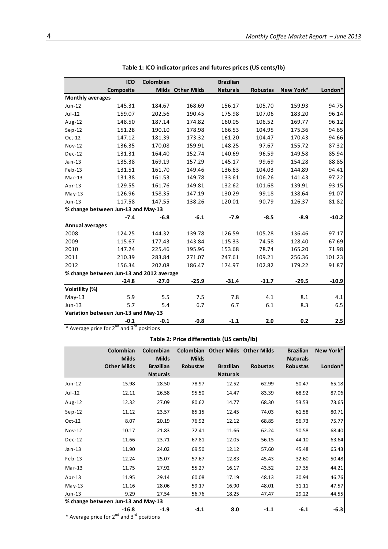|                         | <b>ICO</b>                               | Colombian |                   | <b>Brazilian</b> |                 |           |         |
|-------------------------|------------------------------------------|-----------|-------------------|------------------|-----------------|-----------|---------|
|                         | Composite                                |           | Milds Other Milds | <b>Naturals</b>  | <b>Robustas</b> | New York* | London* |
| <b>Monthly averages</b> |                                          |           |                   |                  |                 |           |         |
| Jun-12                  | 145.31                                   | 184.67    | 168.69            | 156.17           | 105.70          | 159.93    | 94.75   |
| $Jul-12$                | 159.07                                   | 202.56    | 190.45            | 175.98           | 107.06          | 183.20    | 96.14   |
| Aug-12                  | 148.50                                   | 187.14    | 174.82            | 160.05           | 106.52          | 169.77    | 96.12   |
| $Sep-12$                | 151.28                                   | 190.10    | 178.98            | 166.53           | 104.95          | 175.36    | 94.65   |
| $Oct-12$                | 147.12                                   | 181.39    | 173.32            | 161.20           | 104.47          | 170.43    | 94.66   |
| Nov-12                  | 136.35                                   | 170.08    | 159.91            | 148.25           | 97.67           | 155.72    | 87.32   |
| $Dec-12$                | 131.31                                   | 164.40    | 152.74            | 140.69           | 96.59           | 149.58    | 85.94   |
| $Jan-13$                | 135.38                                   | 169.19    | 157.29            | 145.17           | 99.69           | 154.28    | 88.85   |
| $Feb-13$                | 131.51                                   | 161.70    | 149.46            | 136.63           | 104.03          | 144.89    | 94.41   |
| $Mar-13$                | 131.38                                   | 161.53    | 149.78            | 133.61           | 106.26          | 141.43    | 97.22   |
| Apr-13                  | 129.55                                   | 161.76    | 149.81            | 132.62           | 101.68          | 139.91    | 93.15   |
| May-13                  | 126.96                                   | 158.35    | 147.19            | 130.29           | 99.18           | 138.64    | 91.07   |
| $Jun-13$                | 117.58                                   | 147.55    | 138.26            | 120.01           | 90.79           | 126.37    | 81.82   |
|                         | % change between Jun-13 and May-13       |           |                   |                  |                 |           |         |
|                         | $-7.4$                                   | $-6.8$    | $-6.1$            | $-7.9$           | $-8.5$          | $-8.9$    | $-10.2$ |
| <b>Annual averages</b>  |                                          |           |                   |                  |                 |           |         |
| 2008                    | 124.25                                   | 144.32    | 139.78            | 126.59           | 105.28          | 136.46    | 97.17   |
| 2009                    | 115.67                                   | 177.43    | 143.84            | 115.33           | 74.58           | 128.40    | 67.69   |
| 2010                    | 147.24                                   | 225.46    | 195.96            | 153.68           | 78.74           | 165.20    | 71.98   |
| 2011                    | 210.39                                   | 283.84    | 271.07            | 247.61           | 109.21          | 256.36    | 101.23  |
| 2012                    | 156.34                                   | 202.08    | 186.47            | 174.97           | 102.82          | 179.22    | 91.87   |
|                         | % change between Jun-13 and 2012 average |           |                   |                  |                 |           |         |
|                         | $-24.8$                                  | $-27.0$   | $-25.9$           | $-31.4$          | $-11.7$         | $-29.5$   | $-10.9$ |
| Volatility (%)          |                                          |           |                   |                  |                 |           |         |
| $May-13$                | 5.9                                      | 5.5       | 7.5               | 7.8              | 4.1             | 8.1       | 4.1     |
| Jun-13                  | 5.7                                      | 5.4       | 6.7               | 6.7              | 6.1             | 8.3       | 6.5     |
|                         | Variation between Jun-13 and May-13      |           |                   |                  |                 |           |         |
|                         | $-0.1$                                   | $-0.1$    | $-0.8$            | $-1.1$           | 2.0             | 0.2       | 2.5     |

| Table 1: ICO indicator prices and futures prices (US cents/lb) |  |  |  |
|----------------------------------------------------------------|--|--|--|
|----------------------------------------------------------------|--|--|--|

\* Average price for  $2^{nd}$  and  $3^{rd}$  positions

# **Table 2: Price differentials (US cents/lb)**

|               | Colombian<br><b>Milds</b>          | Colombian<br><b>Milds</b>           | <b>Milds</b>    | <b>Colombian Other Milds Other Milds</b> |                 | <b>Brazilian</b><br><b>Naturals</b> | New York* |
|---------------|------------------------------------|-------------------------------------|-----------------|------------------------------------------|-----------------|-------------------------------------|-----------|
|               | <b>Other Milds</b>                 | <b>Brazilian</b><br><b>Naturals</b> | <b>Robustas</b> | <b>Brazilian</b><br><b>Naturals</b>      | <b>Robustas</b> | <b>Robustas</b>                     | London*   |
| $Jun-12$      | 15.98                              | 28.50                               | 78.97           | 12.52                                    | 62.99           | 50.47                               | 65.18     |
| $Jul-12$      | 12.11                              | 26.58                               | 95.50           | 14.47                                    | 83.39           | 68.92                               | 87.06     |
| Aug-12        | 12.32                              | 27.09                               | 80.62           | 14.77                                    | 68.30           | 53.53                               | 73.65     |
| $Sep-12$      | 11.12                              | 23.57                               | 85.15           | 12.45                                    | 74.03           | 61.58                               | 80.71     |
| $Oct-12$      | 8.07                               | 20.19                               | 76.92           | 12.12                                    | 68.85           | 56.73                               | 75.77     |
| <b>Nov-12</b> | 10.17                              | 21.83                               | 72.41           | 11.66                                    | 62.24           | 50.58                               | 68.40     |
| $Dec-12$      | 11.66                              | 23.71                               | 67.81           | 12.05                                    | 56.15           | 44.10                               | 63.64     |
| Jan-13        | 11.90                              | 24.02                               | 69.50           | 12.12                                    | 57.60           | 45.48                               | 65.43     |
| $Feb-13$      | 12.24                              | 25.07                               | 57.67           | 12.83                                    | 45.43           | 32.60                               | 50.48     |
| $Mar-13$      | 11.75                              | 27.92                               | 55.27           | 16.17                                    | 43.52           | 27.35                               | 44.21     |
| Apr-13        | 11.95                              | 29.14                               | 60.08           | 17.19                                    | 48.13           | 30.94                               | 46.76     |
| $May-13$      | 11.16                              | 28.06                               | 59.17           | 16.90                                    | 48.01           | 31.11                               | 47.57     |
| $Jun-13$      | 9.29                               | 27.54                               | 56.76           | 18.25                                    | 47.47           | 29.22                               | 44.55     |
|               | % change between Jun-13 and May-13 |                                     |                 |                                          |                 |                                     |           |
|               | $-16.8$                            | $-1.9$                              | $-4.1$          | 8.0                                      | $-1.1$          | $-6.1$                              | $-6.3$    |

\* Average price for  $2^{nd}$  and  $3^{rd}$  positions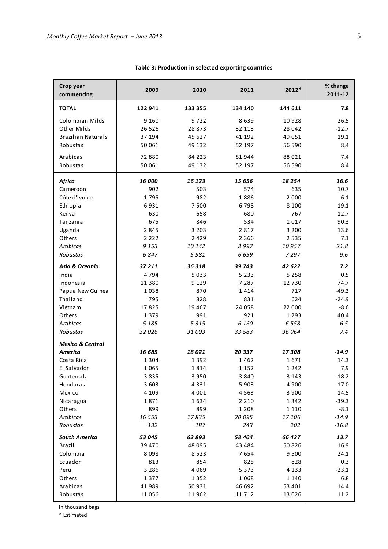| Crop year<br>commencing     | 2009<br>2010 |         | 2011     | $2012*$ | % change<br>2011-12 |  |  |
|-----------------------------|--------------|---------|----------|---------|---------------------|--|--|
| <b>TOTAL</b>                | 122 941      | 133 355 | 134 140  | 144 611 | 7.8                 |  |  |
| Colombian Milds             | 9 1 6 0      | 9722    | 8639     | 10928   | 26.5                |  |  |
| Other Milds                 | 26 5 26      | 28 873  | 32 113   | 28 042  | $-12.7$             |  |  |
| <b>Brazilian Naturals</b>   | 37 194       | 45 627  | 41 192   | 49 0 51 | 19.1                |  |  |
| Robustas                    | 50 061       | 49 132  | 52 197   | 56 590  | 8.4                 |  |  |
| Arabicas                    | 72 880       | 84 2 23 | 81944    | 88 0 21 | 7.4                 |  |  |
| Robustas                    | 50 061       | 49 132  | 52 197   | 56 590  | 8.4                 |  |  |
| <b>Africa</b>               | 16 000       | 16 123  | 15 656   | 18254   | 16.6                |  |  |
| Cameroon                    | 902          | 503     | 574      | 635     | 10.7                |  |  |
| Côte d'Ivoire               | 1795         | 982     | 1886     | 2 0 0 0 | 6.1                 |  |  |
| Ethiopia                    | 6931         | 7 5 0 0 | 6798     | 8 1 0 0 | 19.1                |  |  |
| Kenya                       | 630          | 658     | 680      | 767     | 12.7                |  |  |
| Tanzania                    | 675          | 846     | 534      | 1017    | 90.3                |  |  |
| Uganda                      | 2845         | 3 2 0 3 | 2817     | 3 2 0 0 | 13.6                |  |  |
| Others                      | 2 2 2 2      | 2 4 2 9 | 2 3 6 6  | 2535    | 7.1                 |  |  |
| Arabicas                    | 9 1 5 3      | 10 142  | 8997     | 10957   | 21.8                |  |  |
| Robustas                    | 6847         | 5981    | 6659     | 7297    | 9.6                 |  |  |
| Asia & Oceania              | 37 211       | 36 318  | 39 743   | 42 622  | 7.2                 |  |  |
| India                       | 4794         | 5033    | 5 2 3 3  | 5 2 5 8 | 0.5                 |  |  |
| Indonesia                   | 11 3 8 0     | 9 1 2 9 | 7 2 8 7  | 12 7 30 | 74.7                |  |  |
| Papua New Guinea            | 1038         | 870     | 1414     | 717     | $-49.3$             |  |  |
| Thailand                    | 795          | 828     | 831      | 624     | $-24.9$             |  |  |
| Vietnam                     | 17825        | 19 4 67 | 24 058   | 22 000  | $-8.6$              |  |  |
| Others                      | 1 3 7 9      | 991     | 921      | 1 2 9 3 | 40.4                |  |  |
| Arabicas                    | 5 1 8 5      | 5 3 1 5 | 6 1 6 0  | 6558    | 6.5                 |  |  |
| Robustas                    | 32 0 26      | 31 003  | 33 583   | 36 064  | 7.4                 |  |  |
| <b>Mexico &amp; Central</b> |              |         |          |         |                     |  |  |
| America                     | 16 685       | 18021   | 20337    | 17308   | $-14.9$             |  |  |
| Costa Rica                  | 1 3 0 4      | 1 3 9 2 | 1462     | 1671    | 14.3                |  |  |
| El Salvador                 | 1065         | 1814    | 1 1 5 2  | 1 2 4 2 | 7.9                 |  |  |
| Guatemala                   | 3835         | 3 9 5 0 | 3840     | 3 1 4 3 | $-18.2$             |  |  |
| Honduras                    | 3 6 0 3      | 4 3 3 1 | 5903     | 4 9 0 0 | $-17.0$             |  |  |
| Mexico                      | 4 1 0 9      | 4 0 0 1 | 4563     | 3 900   | $-14.5$             |  |  |
| Nicaragua                   | 1871         | 1634    | 2 2 1 0  | 1 3 4 2 | $-39.3$             |  |  |
| Others                      | 899          | 899     | 1 2 0 8  | 1 1 1 0 | $-8.1$              |  |  |
| Arabicas                    | 16 5 5 3     | 17835   | 20 095   | 17106   | $-14.9$             |  |  |
| Robustas                    | 132          | 187     | 243      | 202     | $-16.8$             |  |  |
| <b>South America</b>        | 53 045       | 62 893  | 58 404   | 66 427  | 13.7                |  |  |
| Brazil                      | 39 4 70      | 48 095  | 43 4 8 4 | 50 826  | 16.9                |  |  |
| Colombia                    | 8098         | 8523    | 7654     | 9500    | 24.1                |  |  |
| Ecuador                     | 813          | 854     | 825      | 828     | 0.3                 |  |  |
| Peru                        | 3 2 8 6      | 4 0 6 9 | 5 3 7 3  | 4 1 3 3 | $-23.1$             |  |  |
| Others                      | 1377         | 1352    | 1068     | 1 1 4 0 | 6.8                 |  |  |
| Arabicas                    | 41 989       | 50 931  | 46 692   | 53 401  | 14.4                |  |  |
| Robustas                    | 11056        | 11 962  | 11712    | 13 0 26 | 11.2                |  |  |

### **Table 3: Production in selected exporting countries**

In thousand bags

\* Estimated